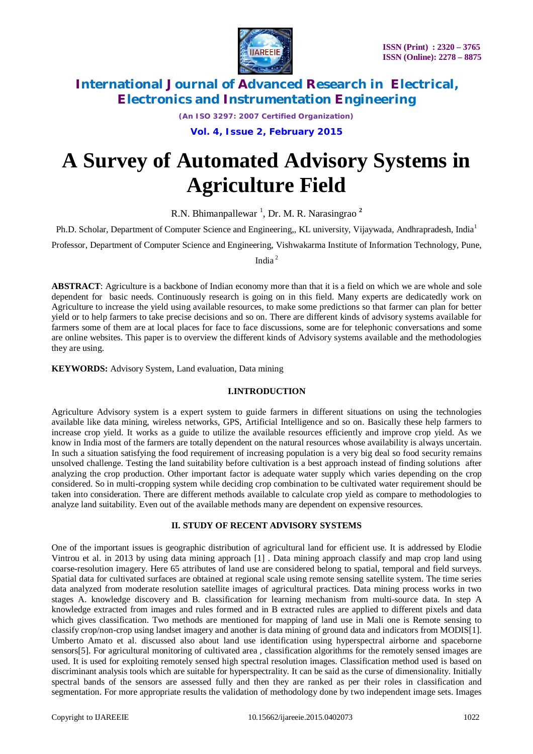

*(An ISO 3297: 2007 Certified Organization)*

**Vol. 4, Issue 2, February 2015**

# **A Survey of Automated Advisory Systems in Agriculture Field**

R.N. Bhimanpallewar<sup>1</sup>, Dr. M. R. Narasingrao<sup>2</sup>

Ph.D. Scholar, Department of Computer Science and Engineering,, KL university, Vijaywada, Andhrapradesh, India<sup>1</sup>

Professor, Department of Computer Science and Engineering, Vishwakarma Institute of Information Technology, Pune,

India <sup>2</sup>

**ABSTRACT**: Agriculture is a backbone of Indian economy more than that it is a field on which we are whole and sole dependent for basic needs. Continuously research is going on in this field. Many experts are dedicatedly work on Agriculture to increase the yield using available resources, to make some predictions so that farmer can plan for better yield or to help farmers to take precise decisions and so on. There are different kinds of advisory systems available for farmers some of them are at local places for face to face discussions, some are for telephonic conversations and some are online websites. This paper is to overview the different kinds of Advisory systems available and the methodologies they are using.

**KEYWORDS:** Advisory System, Land evaluation, Data mining

### **I.INTRODUCTION**

Agriculture Advisory system is a expert system to guide farmers in different situations on using the technologies available like data mining, wireless networks, GPS, Artificial Intelligence and so on. Basically these help farmers to increase crop yield. It works as a guide to utilize the available resources efficiently and improve crop yield. As we know in India most of the farmers are totally dependent on the natural resources whose availability is always uncertain. In such a situation satisfying the food requirement of increasing population is a very big deal so food security remains unsolved challenge. Testing the land suitability before cultivation is a best approach instead of finding solutions after analyzing the crop production. Other important factor is adequate water supply which varies depending on the crop considered. So in multi-cropping system while deciding crop combination to be cultivated water requirement should be taken into consideration. There are different methods available to calculate crop yield as compare to methodologies to analyze land suitability. Even out of the available methods many are dependent on expensive resources.

### **II. STUDY OF RECENT ADVISORY SYSTEMS**

One of the important issues is geographic distribution of agricultural land for efficient use. It is addressed by Elodie Vintrou et al. in 2013 by using data mining approach [1] . Data mining approach classify and map crop land using coarse-resolution imagery. Here 65 attributes of land use are considered belong to spatial, temporal and field surveys. Spatial data for cultivated surfaces are obtained at regional scale using remote sensing satellite system. The time series data analyzed from moderate resolution satellite images of agricultural practices. Data mining process works in two stages A. knowledge discovery and B. classification for learning mechanism from multi-source data. In step A knowledge extracted from images and rules formed and in B extracted rules are applied to different pixels and data which gives classification. Two methods are mentioned for mapping of land use in Mali one is Remote sensing to classify crop/non-crop using landset imagery and another is data mining of ground data and indicators from MODIS[1]. Umberto Amato et al. discussed also about land use identification using hyperspectral airborne and spaceborne sensors[5]. For agricultural monitoring of cultivated area , classification algorithms for the remotely sensed images are used. It is used for exploiting remotely sensed high spectral resolution images. Classification method used is based on discriminant analysis tools which are suitable for hyperspectrality. It can be said as the curse of dimensionality. Initially spectral bands of the sensors are assessed fully and then they are ranked as per their roles in classification and segmentation. For more appropriate results the validation of methodology done by two independent image sets. Images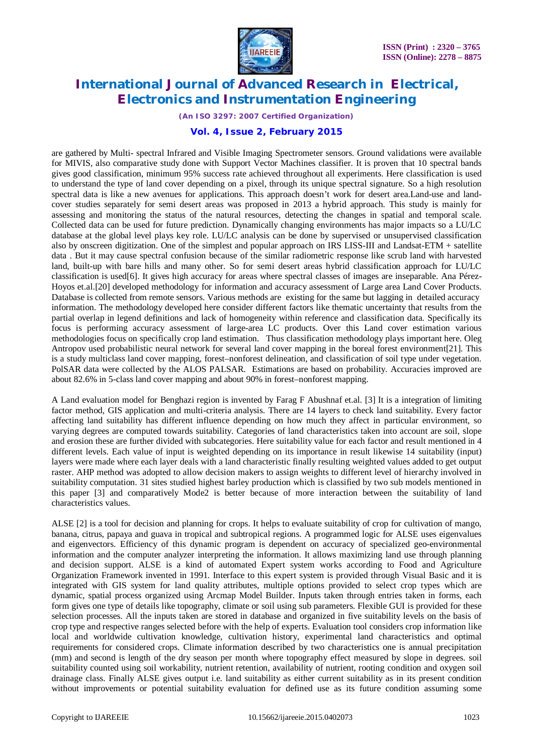

*(An ISO 3297: 2007 Certified Organization)*

#### **Vol. 4, Issue 2, February 2015**

are gathered by Multi- spectral Infrared and Visible Imaging Spectrometer sensors. Ground validations were available for MIVIS, also comparative study done with Support Vector Machines classifier. It is proven that 10 spectral bands gives good classification, minimum 95% success rate achieved throughout all experiments. Here classification is used to understand the type of land cover depending on a pixel, through its unique spectral signature. So a high resolution spectral data is like a new avenues for applications. This approach doesn't work for desert area.Land-use and landcover studies separately for semi desert areas was proposed in 2013 a hybrid approach. This study is mainly for assessing and monitoring the status of the natural resources, detecting the changes in spatial and temporal scale. Collected data can be used for future prediction. Dynamically changing environments has major impacts so a LU/LC database at the global level plays key role. LU/LC analysis can be done by supervised or unsupervised classification also by onscreen digitization. One of the simplest and popular approach on IRS LISS-III and Landsat-ETM + satellite data . But it may cause spectral confusion because of the similar radiometric response like scrub land with harvested land, built-up with bare hills and many other. So for semi desert areas hybrid classification approach for LU/LC classification is used[6]. It gives high accuracy for areas where spectral classes of images are inseparable. Ana Pérez-Hoyos et.al.[20] developed methodology for information and accuracy assessment of Large area Land Cover Products. Database is collected from remote sensors. Various methods are existing for the same but lagging in detailed accuracy information. The methodology developed here consider different factors like thematic uncertainty that results from the partial overlap in legend definitions and lack of homogeneity within reference and classification data. Specifically its focus is performing accuracy assessment of large-area LC products. Over this Land cover estimation various methodologies focus on specifically crop land estimation. Thus classification methodology plays important here. Oleg Antropov used probabilistic neural network for several land cover mapping in the boreal forest environment[21]. This is a study multiclass land cover mapping, forest–nonforest delineation, and classification of soil type under vegetation. PolSAR data were collected by the ALOS PALSAR. Estimations are based on probability. Accuracies improved are about 82.6% in 5-class land cover mapping and about 90% in forest–nonforest mapping.

A Land evaluation model for Benghazi region is invented by Farag F Abushnaf et.al. [3] It is a integration of limiting factor method, GIS application and multi-criteria analysis. There are 14 layers to check land suitability. Every factor affecting land suitability has different influence depending on how much they affect in particular environment, so varying degrees are computed towards suitability. Categories of land characteristics taken into account are soil, slope and erosion these are further divided with subcategories. Here suitability value for each factor and result mentioned in 4 different levels. Each value of input is weighted depending on its importance in result likewise 14 suitability (input) layers were made where each layer deals with a land characteristic finally resulting weighted values added to get output raster. AHP method was adopted to allow decision makers to assign weights to different level of hierarchy involved in suitability computation. 31 sites studied highest barley production which is classified by two sub models mentioned in this paper [3] and comparatively Mode2 is better because of more interaction between the suitability of land characteristics values.

ALSE [2] is a tool for decision and planning for crops. It helps to evaluate suitability of crop for cultivation of mango, banana, citrus, papaya and guava in tropical and subtropical regions. A programmed logic for ALSE uses eigenvalues and eigenvectors. Efficiency of this dynamic program is dependent on accuracy of specialized geo-environmental information and the computer analyzer interpreting the information. It allows maximizing land use through planning and decision support. ALSE is a kind of automated Expert system works according to Food and Agriculture Organization Framework invented in 1991. Interface to this expert system is provided through Visual Basic and it is integrated with GIS system for land quality attributes, multiple options provided to select crop types which are dynamic, spatial process organized using Arcmap Model Builder. Inputs taken through entries taken in forms, each form gives one type of details like topography, climate or soil using sub parameters. Flexible GUI is provided for these selection processes. All the inputs taken are stored in database and organized in five suitability levels on the basis of crop type and respective ranges selected before with the help of experts. Evaluation tool considers crop information like local and worldwide cultivation knowledge, cultivation history, experimental land characteristics and optimal requirements for considered crops. Climate information described by two characteristics one is annual precipitation (mm) and second is length of the dry season per month where topography effect measured by slope in degrees. soil suitability counted using soil workability, nutrient retention, availability of nutrient, rooting condition and oxygen soil drainage class. Finally ALSE gives output i.e. land suitability as either current suitability as in its present condition without improvements or potential suitability evaluation for defined use as its future condition assuming some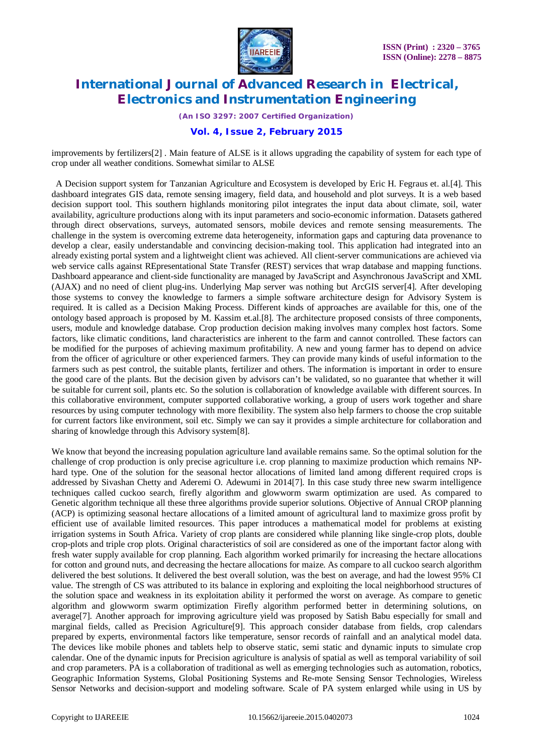

*(An ISO 3297: 2007 Certified Organization)*

### **Vol. 4, Issue 2, February 2015**

improvements by fertilizers[2] . Main feature of ALSE is it allows upgrading the capability of system for each type of crop under all weather conditions. Somewhat similar to ALSE

 A Decision support system for Tanzanian Agriculture and Ecosystem is developed by Eric H. Fegraus et. al.[4]. This dashboard integrates GIS data, remote sensing imagery, field data, and household and plot surveys. It is a web based decision support tool. This southern highlands monitoring pilot integrates the input data about climate, soil, water availability, agriculture productions along with its input parameters and socio-economic information. Datasets gathered through direct observations, surveys, automated sensors, mobile devices and remote sensing measurements. The challenge in the system is overcoming extreme data heterogeneity, information gaps and capturing data provenance to develop a clear, easily understandable and convincing decision-making tool. This application had integrated into an already existing portal system and a lightweight client was achieved. All client-server communications are achieved via web service calls against REpresentational State Transfer (REST) services that wrap database and mapping functions. Dashboard appearance and client-side functionality are managed by JavaScript and Asynchronous JavaScript and XML (AJAX) and no need of client plug-ins. Underlying Map server was nothing but ArcGIS server[4]. After developing those systems to convey the knowledge to farmers a simple software architecture design for Advisory System is required. It is called as a Decision Making Process. Different kinds of approaches are available for this, one of the ontology based approach is proposed by M. Kassim et.al.[8]. The architecture proposed consists of three components, users, module and knowledge database. Crop production decision making involves many complex host factors. Some factors, like climatic conditions, land characteristics are inherent to the farm and cannot controlled. These factors can be modified for the purposes of achieving maximum profitability. A new and young farmer has to depend on advice from the officer of agriculture or other experienced farmers. They can provide many kinds of useful information to the farmers such as pest control, the suitable plants, fertilizer and others. The information is important in order to ensure the good care of the plants. But the decision given by advisors can't be validated, so no guarantee that whether it will be suitable for current soil, plants etc. So the solution is collaboration of knowledge available with different sources. In this collaborative environment, computer supported collaborative working, a group of users work together and share resources by using computer technology with more flexibility. The system also help farmers to choose the crop suitable for current factors like environment, soil etc. Simply we can say it provides a simple architecture for collaboration and sharing of knowledge through this Advisory system[8].

We know that beyond the increasing population agriculture land available remains same. So the optimal solution for the challenge of crop production is only precise agriculture i.e. crop planning to maximize production which remains NPhard type. One of the solution for the seasonal hector allocations of limited land among different required crops is addressed by Sivashan Chetty and Aderemi O. Adewumi in 2014[7]. In this case study three new swarm intelligence techniques called cuckoo search, firefly algorithm and glowworm swarm optimization are used. As compared to Genetic algorithm technique all these three algorithms provide superior solutions. Objective of Annual CROP planning (ACP) is optimizing seasonal hectare allocations of a limited amount of agricultural land to maximize gross profit by efficient use of available limited resources. This paper introduces a mathematical model for problems at existing irrigation systems in South Africa. Variety of crop plants are considered while planning like single-crop plots, double crop-plots and triple crop plots. Original characteristics of soil are considered as one of the important factor along with fresh water supply available for crop planning. Each algorithm worked primarily for increasing the hectare allocations for cotton and ground nuts, and decreasing the hectare allocations for maize. As compare to all cuckoo search algorithm delivered the best solutions. It delivered the best overall solution, was the best on average, and had the lowest 95% CI value. The strength of CS was attributed to its balance in exploring and exploiting the local neighborhood structures of the solution space and weakness in its exploitation ability it performed the worst on average. As compare to genetic algorithm and glowworm swarm optimization Firefly algorithm performed better in determining solutions, on average[7]. Another approach for improving agriculture yield was proposed by Satish Babu especially for small and marginal fields, called as Precision Agriculture[9]. This approach consider database from fields, crop calendars prepared by experts, environmental factors like temperature, sensor records of rainfall and an analytical model data. The devices like mobile phones and tablets help to observe static, semi static and dynamic inputs to simulate crop calendar. One of the dynamic inputs for Precision agriculture is analysis of spatial as well as temporal variability of soil and crop parameters. PA is a collaboration of traditional as well as emerging technologies such as automation, robotics, Geographic Information Systems, Global Positioning Systems and Re-mote Sensing Sensor Technologies, Wireless Sensor Networks and decision-support and modeling software. Scale of PA system enlarged while using in US by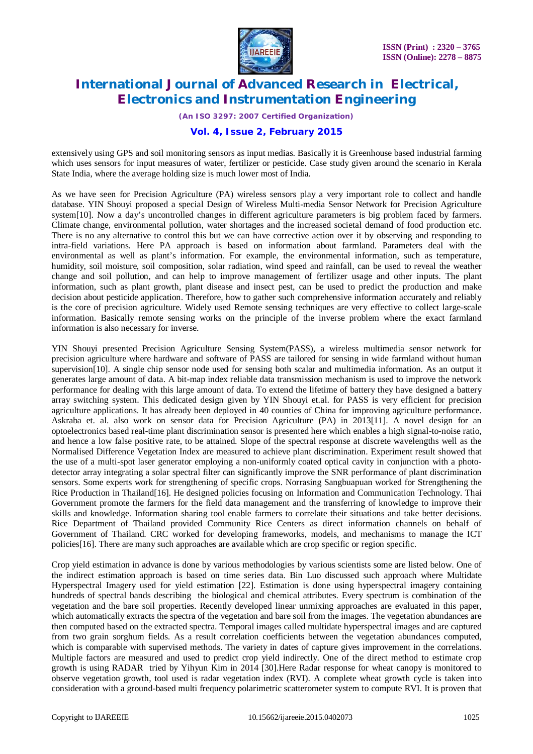

*(An ISO 3297: 2007 Certified Organization)*

### **Vol. 4, Issue 2, February 2015**

extensively using GPS and soil monitoring sensors as input medias. Basically it is Greenhouse based industrial farming which uses sensors for input measures of water, fertilizer or pesticide. Case study given around the scenario in Kerala State India, where the average holding size is much lower most of India.

As we have seen for Precision Agriculture (PA) wireless sensors play a very important role to collect and handle database. YIN Shouyi proposed a special Design of Wireless Multi-media Sensor Network for Precision Agriculture system[10]. Now a day's uncontrolled changes in different agriculture parameters is big problem faced by farmers. Climate change, environmental pollution, water shortages and the increased societal demand of food production etc. There is no any alternative to control this but we can have corrective action over it by observing and responding to intra-field variations. Here PA approach is based on information about farmland. Parameters deal with the environmental as well as plant's information. For example, the environmental information, such as temperature, humidity, soil moisture, soil composition, solar radiation, wind speed and rainfall, can be used to reveal the weather change and soil pollution, and can help to improve management of fertilizer usage and other inputs. The plant information, such as plant growth, plant disease and insect pest, can be used to predict the production and make decision about pesticide application. Therefore, how to gather such comprehensive information accurately and reliably is the core of precision agriculture. Widely used Remote sensing techniques are very effective to collect large-scale information. Basically remote sensing works on the principle of the inverse problem where the exact farmland information is also necessary for inverse.

YIN Shouyi presented Precision Agriculture Sensing System(PASS), a wireless multimedia sensor network for precision agriculture where hardware and software of PASS are tailored for sensing in wide farmland without human supervision[10]. A single chip sensor node used for sensing both scalar and multimedia information. As an output it generates large amount of data. A bit-map index reliable data transmission mechanism is used to improve the network performance for dealing with this large amount of data. To extend the lifetime of battery they have designed a battery array switching system. This dedicated design given by YIN Shouyi et.al. for PASS is very efficient for precision agriculture applications. It has already been deployed in 40 counties of China for improving agriculture performance. Askraba et. al. also work on sensor data for Precision Agriculture (PA) in 2013[11]. A novel design for an optoelectronics based real-time plant discrimination sensor is presented here which enables a high signal-to-noise ratio, and hence a low false positive rate, to be attained. Slope of the spectral response at discrete wavelengths well as the Normalised Difference Vegetation Index are measured to achieve plant discrimination. Experiment result showed that the use of a multi-spot laser generator employing a non-uniformly coated optical cavity in conjunction with a photodetector array integrating a solar spectral filter can significantly improve the SNR performance of plant discrimination sensors. Some experts work for strengthening of specific crops. Norrasing Sangbuapuan worked for Strengthening the Rice Production in Thailand[16]. He designed policies focusing on Information and Communication Technology. Thai Government promote the farmers for the field data management and the transferring of knowledge to improve their skills and knowledge. Information sharing tool enable farmers to correlate their situations and take better decisions. Rice Department of Thailand provided Community Rice Centers as direct information channels on behalf of Government of Thailand. CRC worked for developing frameworks, models, and mechanisms to manage the ICT policies[16]. There are many such approaches are available which are crop specific or region specific.

Crop yield estimation in advance is done by various methodologies by various scientists some are listed below. One of the indirect estimation approach is based on time series data. Bin Luo discussed such approach where Multidate Hyperspectral Imagery used for yield estimation [22]. Estimation is done using hyperspectral imagery containing hundreds of spectral bands describing the biological and chemical attributes. Every spectrum is combination of the vegetation and the bare soil properties. Recently developed linear unmixing approaches are evaluated in this paper, which automatically extracts the spectra of the vegetation and bare soil from the images. The vegetation abundances are then computed based on the extracted spectra. Temporal images called multidate hyperspectral images and are captured from two grain sorghum fields. As a result correlation coefficients between the vegetation abundances computed, which is comparable with supervised methods. The variety in dates of capture gives improvement in the correlations. Multiple factors are measured and used to predict crop yield indirectly. One of the direct method to estimate crop growth is using RADAR tried by Yihyun Kim in 2014 [30].Here Radar response for wheat canopy is monitored to observe vegetation growth, tool used is radar vegetation index (RVI). A complete wheat growth cycle is taken into consideration with a ground-based multi frequency polarimetric scatterometer system to compute RVI. It is proven that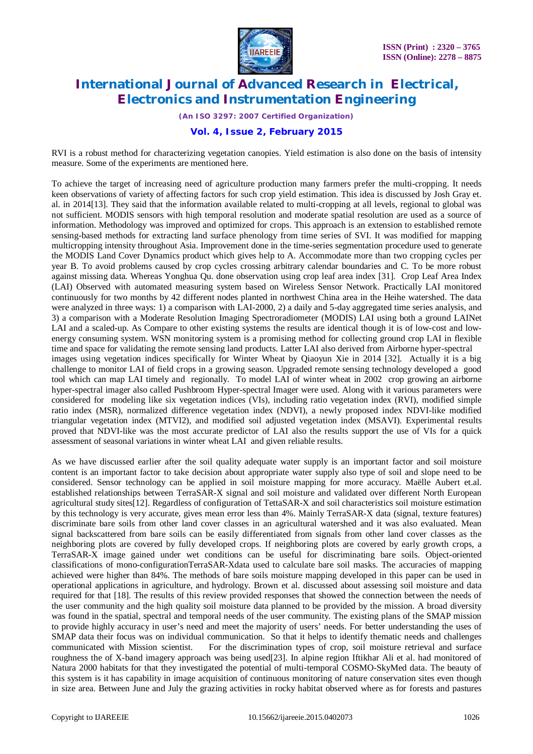

*(An ISO 3297: 2007 Certified Organization)*

### **Vol. 4, Issue 2, February 2015**

RVI is a robust method for characterizing vegetation canopies. Yield estimation is also done on the basis of intensity measure. Some of the experiments are mentioned here.

To achieve the target of increasing need of agriculture production many farmers prefer the multi-cropping. It needs keen observations of variety of affecting factors for such crop yield estimation. This idea is discussed by Josh Gray et. al. in 2014[13]. They said that the information available related to multi-cropping at all levels, regional to global was not sufficient. MODIS sensors with high temporal resolution and moderate spatial resolution are used as a source of information. Methodology was improved and optimized for crops. This approach is an extension to established remote sensing-based methods for extracting land surface phenology from time series of SVI. It was modified for mapping multicropping intensity throughout Asia. Improvement done in the time-series segmentation procedure used to generate the MODIS Land Cover Dynamics product which gives help to A. Accommodate more than two cropping cycles per year B. To avoid problems caused by crop cycles crossing arbitrary calendar boundaries and C. To be more robust against missing data. Whereas Yonghua Qu. done observation using crop leaf area index [31]. Crop Leaf Area Index (LAI) Observed with automated measuring system based on Wireless Sensor Network. Practically LAI monitored continuously for two months by 42 different nodes planted in northwest China area in the Heihe watershed. The data were analyzed in three ways: 1) a comparison with LAI-2000, 2) a daily and 5-day aggregated time series analysis, and 3) a comparison with a Moderate Resolution Imaging Spectroradiometer (MODIS) LAI using both a ground LAINet LAI and a scaled-up. As Compare to other existing systems the results are identical though it is of low-cost and lowenergy consuming system. WSN monitoring system is a promising method for collecting ground crop LAI in flexible time and space for validating the remote sensing land products. Latter LAI also derived from Airborne hyper-spectral images using vegetation indices specifically for Winter Wheat by Qiaoyun Xie in 2014 [32]. Actually it is a big challenge to monitor LAI of field crops in a growing season. Upgraded remote sensing technology developed a good tool which can map LAI timely and regionally. To model LAI of winter wheat in 2002 crop growing an airborne hyper-spectral imager also called Pushbroom Hyper-spectral Imager were used. Along with it various parameters were considered for modeling like six vegetation indices (VIs), including ratio vegetation index (RVI), modified simple ratio index (MSR), normalized difference vegetation index (NDVI), a newly proposed index NDVI-like modified triangular vegetation index (MTVI2), and modified soil adjusted vegetation index (MSAVI). Experimental results proved that NDVI-like was the most accurate predictor of LAI also the results support the use of VIs for a quick assessment of seasonal variations in winter wheat LAI and given reliable results.

As we have discussed earlier after the soil quality adequate water supply is an important factor and soil moisture content is an important factor to take decision about appropriate water supply also type of soil and slope need to be considered. Sensor technology can be applied in soil moisture mapping for more accuracy. Maëlle Aubert et.al. established relationships between TerraSAR-X signal and soil moisture and validated over different North European agricultural study sites[12]. Regardless of configuration of TettaSAR-X and soil characteristics soil moisture estimation by this technology is very accurate, gives mean error less than 4%. Mainly TerraSAR-X data (signal, texture features) discriminate bare soils from other land cover classes in an agricultural watershed and it was also evaluated. Mean signal backscattered from bare soils can be easily differentiated from signals from other land cover classes as the neighboring plots are covered by fully developed crops. If neighboring plots are covered by early growth crops, a TerraSAR-X image gained under wet conditions can be useful for discriminating bare soils. Object-oriented classifications of mono-configurationTerraSAR-Xdata used to calculate bare soil masks. The accuracies of mapping achieved were higher than 84%. The methods of bare soils moisture mapping developed in this paper can be used in operational applications in agriculture, and hydrology. Brown et al. discussed about assessing soil moisture and data required for that [18]. The results of this review provided responses that showed the connection between the needs of the user community and the high quality soil moisture data planned to be provided by the mission. A broad diversity was found in the spatial, spectral and temporal needs of the user community. The existing plans of the SMAP mission to provide highly accuracy in user's need and meet the majority of users' needs. For better understanding the uses of SMAP data their focus was on individual communication. So that it helps to identify thematic needs and challenges communicated with Mission scientist. For the discrimination types of crop, soil moisture retrieval and surface roughness the of X-band imagery approach was being used[23]. In alpine region Iftikhar Ali et al. had monitored of Natura 2000 habitats for that they investigated the potential of multi-temporal COSMO-SkyMed data. The beauty of this system is it has capability in image acquisition of continuous monitoring of nature conservation sites even though in size area. Between June and July the grazing activities in rocky habitat observed where as for forests and pastures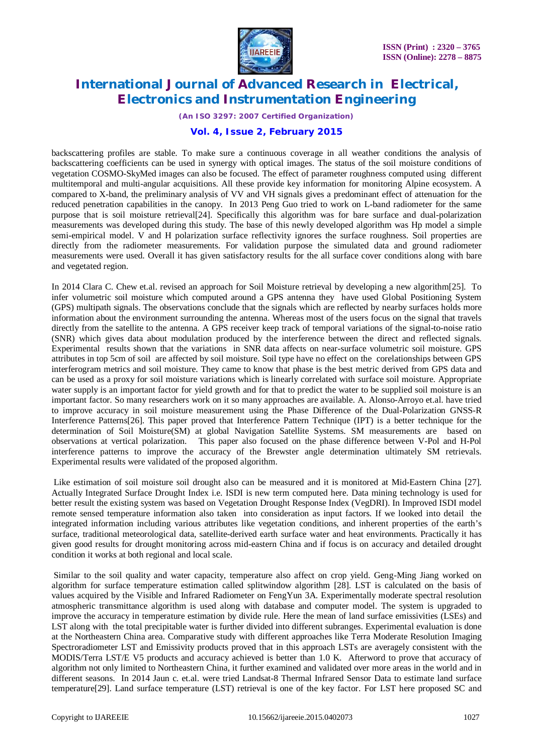

*(An ISO 3297: 2007 Certified Organization)*

#### **Vol. 4, Issue 2, February 2015**

backscattering profiles are stable. To make sure a continuous coverage in all weather conditions the analysis of backscattering coefficients can be used in synergy with optical images. The status of the soil moisture conditions of vegetation COSMO-SkyMed images can also be focused. The effect of parameter roughness computed using different multitemporal and multi-angular acquisitions. All these provide key information for monitoring Alpine ecosystem. A compared to X-band, the preliminary analysis of VV and VH signals gives a predominant effect of attenuation for the reduced penetration capabilities in the canopy. In 2013 Peng Guo tried to work on L-band radiometer for the same purpose that is soil moisture retrieval[24]. Specifically this algorithm was for bare surface and dual-polarization measurements was developed during this study. The base of this newly developed algorithm was Hp model a simple semi-empirical model. V and H polarization surface reflectivity ignores the surface roughness. Soil properties are directly from the radiometer measurements. For validation purpose the simulated data and ground radiometer measurements were used. Overall it has given satisfactory results for the all surface cover conditions along with bare and vegetated region.

In 2014 Clara C. Chew et.al. revised an approach for Soil Moisture retrieval by developing a new algorithm[25]. To infer volumetric soil moisture which computed around a GPS antenna they have used Global Positioning System (GPS) multipath signals. The observations conclude that the signals which are reflected by nearby surfaces holds more information about the environment surrounding the antenna. Whereas most of the users focus on the signal that travels directly from the satellite to the antenna. A GPS receiver keep track of temporal variations of the signal-to-noise ratio (SNR) which gives data about modulation produced by the interference between the direct and reflected signals. Experimental results shown that the variations in SNR data affects on near-surface volumetric soil moisture. GPS attributes in top 5cm of soil are affected by soil moisture. Soil type have no effect on the corelationships between GPS interferogram metrics and soil moisture. They came to know that phase is the best metric derived from GPS data and can be used as a proxy for soil moisture variations which is linearly correlated with surface soil moisture. Appropriate water supply is an important factor for yield growth and for that to predict the water to be supplied soil moisture is an important factor. So many researchers work on it so many approaches are available. A. Alonso-Arroyo et.al. have tried to improve accuracy in soil moisture measurement using the Phase Difference of the Dual-Polarization GNSS-R Interference Patterns[26]. This paper proved that Interference Pattern Technique (IPT) is a better technique for the determination of Soil Moisture(SM) at global Navigation Satellite Systems. SM measurements are based on observations at vertical polarization. This paper also focused on the phase difference between V-Pol and H-Pol interference patterns to improve the accuracy of the Brewster angle determination ultimately SM retrievals. Experimental results were validated of the proposed algorithm.

Like estimation of soil moisture soil drought also can be measured and it is monitored at Mid-Eastern China [27]. Actually Integrated Surface Drought Index i.e. ISDI is new term computed here. Data mining technology is used for better result the existing system was based on Vegetation Drought Response Index (VegDRI). In Improved ISDI model remote sensed temperature information also taken into consideration as input factors. If we looked into detail the integrated information including various attributes like vegetation conditions, and inherent properties of the earth's surface, traditional meteorological data, satellite-derived earth surface water and heat environments. Practically it has given good results for drought monitoring across mid-eastern China and if focus is on accuracy and detailed drought condition it works at both regional and local scale.

Similar to the soil quality and water capacity, temperature also affect on crop yield. Geng-Ming Jiang worked on algorithm for surface temperature estimation called splitwindow algorithm [28]. LST is calculated on the basis of values acquired by the Visible and Infrared Radiometer on FengYun 3A. Experimentally moderate spectral resolution atmospheric transmittance algorithm is used along with database and computer model. The system is upgraded to improve the accuracy in temperature estimation by divide rule. Here the mean of land surface emissivities (LSEs) and LST along with the total precipitable water is further divided into different subranges. Experimental evaluation is done at the Northeastern China area. Comparative study with different approaches like Terra Moderate Resolution Imaging Spectroradiometer LST and Emissivity products proved that in this approach LSTs are averagely consistent with the MODIS/Terra LST/E V5 products and accuracy achieved is better than 1.0 K. Afterword to prove that accuracy of algorithm not only limited to Northeastern China, it further examined and validated over more areas in the world and in different seasons. In 2014 Jaun c. et.al. were tried Landsat-8 Thermal Infrared Sensor Data to estimate land surface temperature[29]. Land surface temperature (LST) retrieval is one of the key factor. For LST here proposed SC and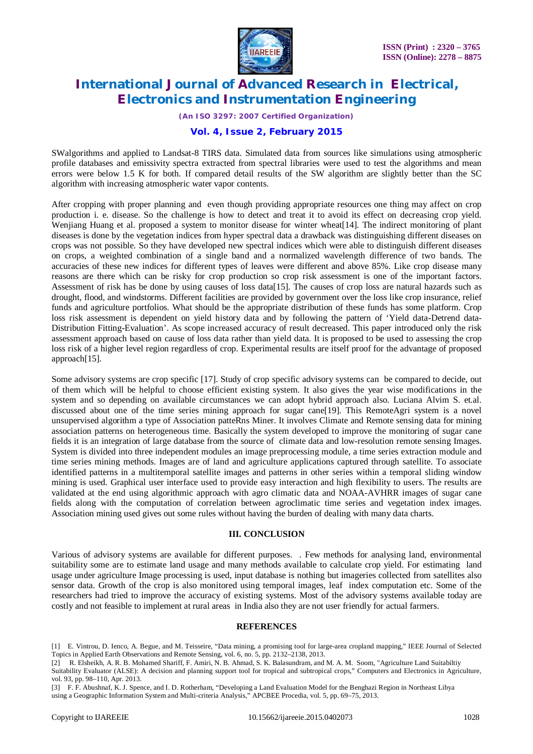

*(An ISO 3297: 2007 Certified Organization)*

#### **Vol. 4, Issue 2, February 2015**

SWalgorithms and applied to Landsat-8 TIRS data. Simulated data from sources like simulations using atmospheric profile databases and emissivity spectra extracted from spectral libraries were used to test the algorithms and mean errors were below 1.5 K for both. If compared detail results of the SW algorithm are slightly better than the SC algorithm with increasing atmospheric water vapor contents.

After cropping with proper planning and even though providing appropriate resources one thing may affect on crop production i. e. disease. So the challenge is how to detect and treat it to avoid its effect on decreasing crop yield. Wenjiang Huang et al. proposed a system to monitor disease for winter wheat[14]. The indirect monitoring of plant diseases is done by the vegetation indices from hyper spectral data a drawback was distinguishing different diseases on crops was not possible. So they have developed new spectral indices which were able to distinguish different diseases on crops, a weighted combination of a single band and a normalized wavelength difference of two bands. The accuracies of these new indices for different types of leaves were different and above 85%. Like crop disease many reasons are there which can be risky for crop production so crop risk assessment is one of the important factors. Assessment of risk has be done by using causes of loss data[15]. The causes of crop loss are natural hazards such as drought, flood, and windstorms. Different facilities are provided by government over the loss like crop insurance, relief funds and agriculture portfolios. What should be the appropriate distribution of these funds has some platform. Crop loss risk assessment is dependent on yield history data and by following the pattern of 'Yield data-Detrend data-Distribution Fitting-Evaluation'. As scope increased accuracy of result decreased. This paper introduced only the risk assessment approach based on cause of loss data rather than yield data. It is proposed to be used to assessing the crop loss risk of a higher level region regardless of crop. Experimental results are itself proof for the advantage of proposed approach[15].

Some advisory systems are crop specific [17]. Study of crop specific advisory systems can be compared to decide, out of them which will be helpful to choose efficient existing system. It also gives the year wise modifications in the system and so depending on available circumstances we can adopt hybrid approach also. Luciana Alvim S. et.al. discussed about one of the time series mining approach for sugar cane[19]. This RemoteAgri system is a novel unsupervised algorithm a type of Association patteRns Miner. It involves Climate and Remote sensing data for mining association patterns on heterogeneous time. Basically the system developed to improve the monitoring of sugar cane fields it is an integration of large database from the source of climate data and low-resolution remote sensing Images. System is divided into three independent modules an image preprocessing module, a time series extraction module and time series mining methods. Images are of land and agriculture applications captured through satellite. To associate identified patterns in a multitemporal satellite images and patterns in other series within a temporal sliding window mining is used. Graphical user interface used to provide easy interaction and high flexibility to users. The results are validated at the end using algorithmic approach with agro climatic data and NOAA-AVHRR images of sugar cane fields along with the computation of correlation between agroclimatic time series and vegetation index images. Association mining used gives out some rules without having the burden of dealing with many data charts.

#### **III. CONCLUSION**

Various of advisory systems are available for different purposes. . Few methods for analysing land, environmental suitability some are to estimate land usage and many methods available to calculate crop yield. For estimating land usage under agriculture Image processing is used, input database is nothing but imageries collected from satellites also sensor data. Growth of the crop is also monitored using temporal images, leaf index computation etc. Some of the researchers had tried to improve the accuracy of existing systems. Most of the advisory systems available today are costly and not feasible to implement at rural areas in India also they are not user friendly for actual farmers.

#### **REFERENCES**

[1] E. Vintrou, D. Ienco, A. Begue, and M. Teisseire, "Data mining, a promising tool for large-area cropland mapping," IEEE Journal of Selected Topics in Applied Earth Observations and Remote Sensing, vol. 6, no. 5, pp. 2132–2138, 2013.

[2] R. Elsheikh, A. R. B. Mohamed Shariff, F. Amiri, N. B. Ahmad, S. K. Balasundram, and M. A. M. Soom, "Agriculture Land Suitabiltiy Suitability Evaluator (ALSE): A decision and planning support tool for tropical and subtropical crops," Computers and Electronics in Agriculture,

vol. 93, pp. 98–110, Apr. 2013. [3] F. F. Abushnaf, K. J. Spence, and I. D. Rotherham, "Developing a Land Evaluation Model for the Benghazi Region in Northeast Libya

using a Geographic Information System and Multi-criteria Analysis," APCBEE Procedia, vol. 5, pp. 69–75, 2013.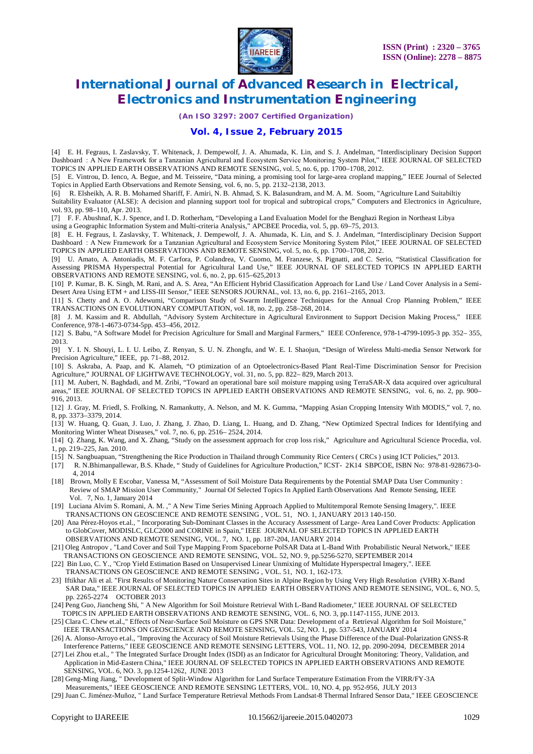

*(An ISO 3297: 2007 Certified Organization)*

#### **Vol. 4, Issue 2, February 2015**

[4] E. H. Fegraus, I. Zaslavsky, T. Whitenack, J. Dempewolf, J. A. Ahumada, K. Lin, and S. J. Andelman, "Interdisciplinary Decision Support Dashboard  : A New Framework for a Tanzanian Agricultural and Ecosystem Service Monitoring System Pilot," IEEE JOURNAL OF SELECTED TOPICS IN APPLIED EARTH OBSERVATIONS AND REMOTE SENSING, vol. 5, no. 6, pp. 1700–1708, 2012.

[5] E. Vintrou, D. Ienco, A. Begue, and M. Teisseire, "Data mining, a promising tool for large-area cropland mapping," IEEE Journal of Selected Topics in Applied Earth Observations and Remote Sensing, vol. 6, no. 5, pp. 2132–2138, 2013.

[6] R. Elsheikh, A. R. B. Mohamed Shariff, F. Amiri, N. B. Ahmad, S. K. Balasundram, and M. A. M. Soom, "Agriculture Land Suitabiltiy

Suitability Evaluator (ALSE): A decision and planning support tool for tropical and subtropical crops," Computers and Electronics in Agriculture, vol. 93, pp. 98–110, Apr. 2013.

[7] F. F. Abushnaf, K. J. Spence, and I. D. Rotherham, "Developing a Land Evaluation Model for the Benghazi Region in Northeast Libya

using a Geographic Information System and Multi-criteria Analysis," APCBEE Procedia, vol. 5, pp. 69–75, 2013.

[8] E. H. Fegraus, I. Zaslavsky, T. Whitenack, J. Dempewolf, J. A. Ahumada, K. Lin, and S. J. Andelman, "Interdisciplinary Decision Support Dashboard  $:$  A New Framework for a Tanzanian Agricultural and Ecosystem Service Monitoring System Pilot," IEEE JOURNAL OF SELECTED TOPICS IN APPLIED EARTH OBSERVATIONS AND REMOTE SENSING, vol. 5, no. 6, pp. 1700–1708, 2012.

[9] U. Amato, A. Antoniadis, M. F. Carfora, P. Colandrea, V. Cuomo, M. Franzese, S. Pignatti, and C. Serio, "Statistical Classification for Assessing PRISMA Hyperspectral Potential for Agricultural Land Use," IEEE JOURNAL OF SELECTED TOPICS IN APPLIED EARTH OBSERVATIONS AND REMOTE SENSING, vol. 6, no. 2, pp. 615–625,2013

[10] P. Kumar, B. K. Singh, M. Rani, and A. S. Area, "An Efficient Hybrid Classification Approach for Land Use / Land Cover Analysis in a Semi-Desert Area Using ETM + and LISS-III Sensor," IEEE SENSORS JOURNAL, vol. 13, no. 6, pp. 2161–2165, 2013.

[11] S. Chetty and A. O. Adewumi, "Comparison Study of Swarm Intelligence Techniques for the Annual Crop Planning Problem," IEEE TRANSACTIONS ON EVOLUTIONARY COMPUTATION, vol. 18, no. 2, pp. 258–268, 2014.

[8] J. M. Kassim and R. Abdullah, "Advisory System Architecture in Agricultural Environment to Support Decision Making Process," IEEE Conference, 978-1-4673-0734-5pp. 453–456, 2012.

[12] S. Babu, "A Software Model for Precision Agriculture for Small and Marginal Farmers," IEEE COnference, 978-1-4799-1095-3 pp. 352– 355, 2013.

[9] Y. I. N. Shouyi, L. I. U. Leibo, Z. Renyan, S. U. N. Zhongfu, and W. E. I. Shaojun, "Design of Wireless Multi-media Sensor Network for Precision Agriculture," IEEE, pp. 71–88, 2012.

[10] S. Askraba, A. Paap, and K. Alameh, "O ptimization of an Optoelectronics-Based Plant Real-Time Discrimination Sensor for Precision Agriculture," JOURNAL OF LIGHTWAVE TECHNOLOGY, vol. 31, no. 5, pp. 822– 829, March 2013.

[11] M. Aubert, N. Baghdadi, and M. Zribi, "Toward an operational bare soil moisture mapping using TerraSAR-X data acquired over agricultural areas," IEEE JOURNAL OF SELECTED TOPICS IN APPLIED EARTH OBSERVATIONS AND REMOTE SENSING, vol. 6, no. 2, pp. 900-916, 2013.

[12] J. Gray, M. Friedl, S. Frolking, N. Ramankutty, A. Nelson, and M. K. Gumma, "Mapping Asian Cropping Intensity With MODIS," vol. 7, no. 8, pp. 3373–3379, 2014.

[13] W. Huang, Q. Guan, J. Luo, J. Zhang, J. Zhao, D. Liang, L. Huang, and D. Zhang, "New Optimized Spectral Indices for Identifying and Monitoring Winter Wheat Diseases," vol. 7, no. 6, pp. 2516– 2524, 2014.

[14] Q. Zhang, K. Wang, and X. Zhang, "Study on the assessment approach for crop loss risk," Agriculture and Agricultural Science Procedia, vol. 1, pp. 219–225, Jan. 2010.

- [15] N. Sangbuapuan, "Strengthening the Rice Production in Thailand through Community Rice Centers ( CRCs ) using ICT Policies," 2013.
- [17] R. N.Bhimanpallewar, B.S. Khade, " Study of Guidelines for Agriculture Production," ICST- 2K14 SBPCOE, ISBN No: 978-81-928673-0- 4, 2014
- [18] Brown, Molly E Escobar, Vanessa M, "Assessment of Soil Moisture Data Requirements by the Potential SMAP Data User Community : Review of SMAP Mission User Community," Journal Of Selected Topics In Applied Earth Observations And Remote Sensing, IEEE Vol. 7, No. 1, January 2014
- [19] Luciana Alvim S. Romani, A. M. ," A New Time Series Mining Approach Applied to Multitemporal Remote Sensing Imagery,". IEEE TRANSACTIONS ON GEOSCIENCE AND REMOTE SENSING , VOL. 51, NO. 1, JANUARY 2013 140-150.
- [20] Ana Pérez-Hoyos et.al., " Incorporating Sub-Dominant Classes in the Accuracy Assessment of Large- Area Land Cover Products: Application to GlobCover, MODISLC, GLC2000 and CORINE in Spain," IEEE JOURNAL OF SELECTED TOPICS IN APPLIED EARTH OBSERVATIONS AND REMOTE SENSING, VOL. 7, NO. 1, pp. 187-204, JANUARY 2014
- [21] Oleg Antropov , "Land Cover and Soil Type Mapping From Spaceborne PolSAR Data at L-Band With Probabilistic Neural Network," IEEE TRANSACTIONS ON GEOSCIENCE AND REMOTE SENSING, VOL. 52, NO. 9, pp.5256-5270, SEPTEMBER 2014
- [22] Bin Luo, C. Y., "Crop Yield Estimation Based on Unsupervised Linear Unmixing of Multidate Hyperspectral Imagery,". IEEE TRANSACTIONS ON GEOSCIENCE AND REMOTE SENSING , VOL. 51, NO. 1, 162-173.
- 23] Iftikhar Ali et al. "First Results of Monitoring Nature Conservation Sites in Alpine Region by Using Very High Resolution (VHR) X-Band SAR Data," IEEE JOURNAL OF SELECTED TOPICS IN APPLIED EARTH OBSERVATIONS AND REMOTE SENSING, VOL. 6, NO. 5, pp. 2265-2274 OCTOBER 2013
- [24] Peng Guo, Jiancheng Shi, " A New Algorithm for Soil Moisture Retrieval With L-Band Radiometer," IEEE JOURNAL OF SELECTED TOPICS IN APPLIED EARTH OBSERVATIONS AND REMOTE SENSING, VOL. 6, NO. 3, pp.1147-1155, JUNE 2013.
- [25] Clara C. Chew et.al.," Effects of Near-Surface Soil Moisture on GPS SNR Data: Development of a Retrieval Algorithm for Soil Moisture," IEEE TRANSACTIONS ON GEOSCIENCE AND REMOTE SENSING, VOL. 52, NO. 1, pp. 537-543, JANUARY 2014
- [26] A. Alonso-Arroyo et.al., "Improving the Accuracy of Soil Moisture Retrievals Using the Phase Difference of the Dual-Polarization GNSS-R Interference Patterns," IEEE GEOSCIENCE AND REMOTE SENSING LETTERS, VOL. 11, NO. 12, pp. 2090-2094, DECEMBER 2014
- [27] Lei Zhou et.al., " The Integrated Surface Drought Index (ISDI) as an Indicator for Agricultural Drought Monitoring: Theory, Validation, and Application in Mid-Eastern China," IEEE JOURNAL OF SELECTED TOPICS IN APPLIED EARTH OBSERVATIONS AND REMOTE SENSING, VOL. 6, NO. 3, pp.1254-1262, JUNE 2013
- [28] Geng-Ming Jiang, " Development of Split-Window Algorithm for Land Surface Temperature Estimation From the VIRR/FY-3A Measurements," IEEE GEOSCIENCE AND REMOTE SENSING LETTERS, VOL. 10, NO. 4, pp. 952-956, JULY 2013
- [29] Juan C. Jiménez-Muñoz, " Land Surface Temperature Retrieval Methods From Landsat-8 Thermal Infrared Sensor Data," IEEE GEOSCIENCE